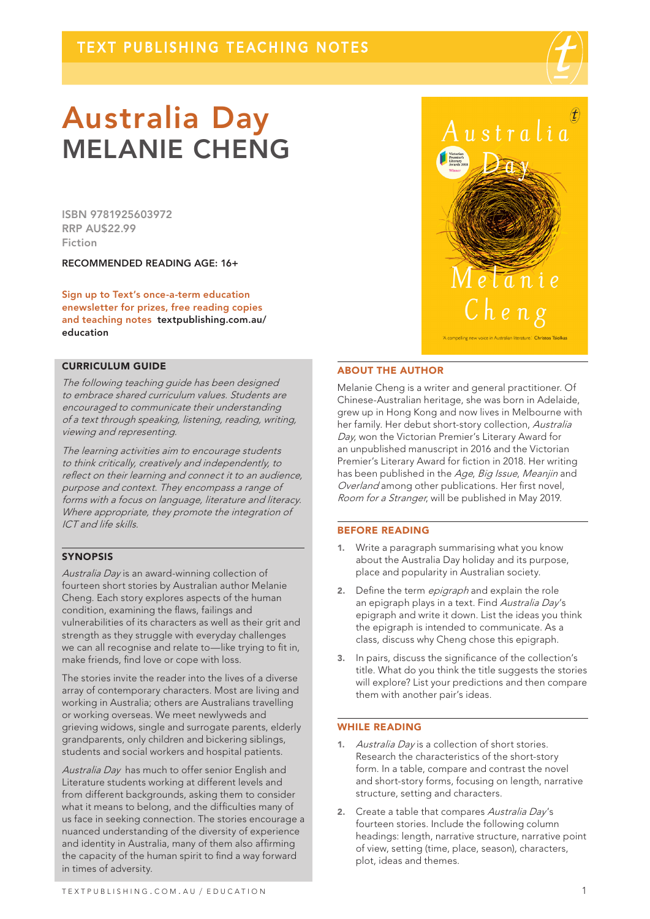

# Australia Day MELANIE CHENG

ISBN 9781925603972 RRP AU\$22.99 Fiction

RECOMMENDED READING AGE: 16+

Sign up to Text's once-a-term education enewsletter for prizes, free reading copies and teaching notes textpublishing.com.au/ education

# CURRICULUM GUIDE

The following teaching guide has been designed to embrace shared curriculum values. Students are encouraged to communicate their understanding of a text through speaking, listening, reading, writing, viewing and representing.

The learning activities aim to encourage students to think critically, creatively and independently, to reflect on their learning and connect it to an audience, purpose and context. They encompass a range of forms with a focus on language, literature and literacy. Where appropriate, they promote the integration of ICT and life skills.

# SYNOPSIS

Australia Day is an award-winning collection of fourteen short stories by Australian author Melanie Cheng. Each story explores aspects of the human condition, examining the flaws, failings and vulnerabilities of its characters as well as their grit and strength as they struggle with everyday challenges we can all recognise and relate to—like trying to fit in, make friends, find love or cope with loss.

The stories invite the reader into the lives of a diverse array of contemporary characters. Most are living and working in Australia; others are Australians travelling or working overseas. We meet newlyweds and grieving widows, single and surrogate parents, elderly grandparents, only children and bickering siblings, students and social workers and hospital patients.

Australia Day has much to offer senior English and Literature students working at different levels and from different backgrounds, asking them to consider what it means to belong, and the difficulties many of us face in seeking connection. The stories encourage a nuanced understanding of the diversity of experience and identity in Australia, many of them also affirming the capacity of the human spirit to find a way forward in times of adversity.



### ABOUT THE AUTHOR

Melanie Cheng is a writer and general practitioner. Of Chinese-Australian heritage, she was born in Adelaide, grew up in Hong Kong and now lives in Melbourne with her family. Her debut short-story collection, Australia Day, won the Victorian Premier's Literary Award for an unpublished manuscript in 2016 and the Victorian Premier's Literary Award for fiction in 2018. Her writing has been published in the Age, Big Issue, Meanjin and Overland among other publications. Her first novel, Room for a Stranger, will be published in May 2019.

### BEFORE READING

- 1. Write a paragraph summarising what you know about the Australia Day holiday and its purpose, place and popularity in Australian society.
- 2. Define the term *epigraph* and explain the role an epigraph plays in a text. Find Australia Day's epigraph and write it down. List the ideas you think the epigraph is intended to communicate. As a class, discuss why Cheng chose this epigraph.
- 3. In pairs, discuss the significance of the collection's title. What do you think the title suggests the stories will explore? List your predictions and then compare them with another pair's ideas.

# WHILE READING

- 1. Australia Day is a collection of short stories. Research the characteristics of the short-story form. In a table, compare and contrast the novel and short-story forms, focusing on length, narrative structure, setting and characters.
- 2. Create a table that compares Australia Day's fourteen stories. Include the following column headings: length, narrative structure, narrative point of view, setting (time, place, season), characters, plot, ideas and themes.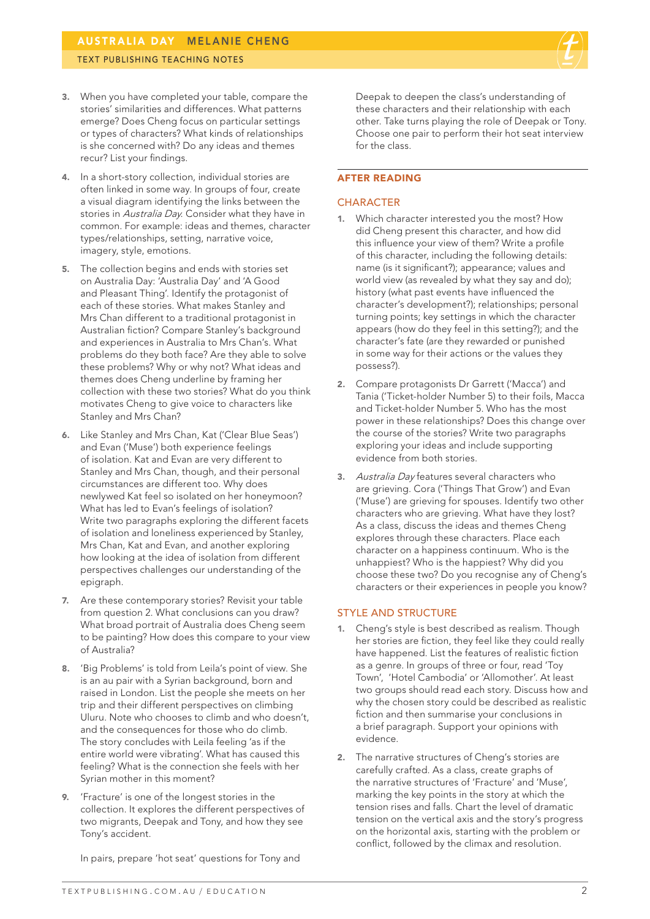

- 3. When you have completed your table, compare the stories' similarities and differences. What patterns emerge? Does Cheng focus on particular settings or types of characters? What kinds of relationships is she concerned with? Do any ideas and themes recur? List your findings.
- 4. In a short-story collection, individual stories are often linked in some way. In groups of four, create a visual diagram identifying the links between the stories in Australia Day. Consider what they have in common. For example: ideas and themes, character types/relationships, setting, narrative voice, imagery, style, emotions.
- 5. The collection begins and ends with stories set on Australia Day: 'Australia Day' and 'A Good and Pleasant Thing'. Identify the protagonist of each of these stories. What makes Stanley and Mrs Chan different to a traditional protagonist in Australian fiction? Compare Stanley's background and experiences in Australia to Mrs Chan's. What problems do they both face? Are they able to solve these problems? Why or why not? What ideas and themes does Cheng underline by framing her collection with these two stories? What do you think motivates Cheng to give voice to characters like Stanley and Mrs Chan?
- 6. Like Stanley and Mrs Chan, Kat ('Clear Blue Seas') and Evan ('Muse') both experience feelings of isolation. Kat and Evan are very different to Stanley and Mrs Chan, though, and their personal circumstances are different too. Why does newlywed Kat feel so isolated on her honeymoon? What has led to Evan's feelings of isolation? Write two paragraphs exploring the different facets of isolation and loneliness experienced by Stanley, Mrs Chan, Kat and Evan, and another exploring how looking at the idea of isolation from different perspectives challenges our understanding of the epigraph.
- 7. Are these contemporary stories? Revisit your table from question 2. What conclusions can you draw? What broad portrait of Australia does Cheng seem to be painting? How does this compare to your view of Australia?
- 8. 'Big Problems' is told from Leila's point of view. She is an au pair with a Syrian background, born and raised in London. List the people she meets on her trip and their different perspectives on climbing Uluru. Note who chooses to climb and who doesn't, and the consequences for those who do climb. The story concludes with Leila feeling 'as if the entire world were vibrating'. What has caused this feeling? What is the connection she feels with her Syrian mother in this moment?
- 9. 'Fracture' is one of the longest stories in the collection. It explores the different perspectives of two migrants, Deepak and Tony, and how they see Tony's accident.

In pairs, prepare 'hot seat' questions for Tony and

Deepak to deepen the class's understanding of these characters and their relationship with each other. Take turns playing the role of Deepak or Tony. Choose one pair to perform their hot seat interview for the class.

## AFTER READING

# **CHARACTER**

- 1. Which character interested you the most? How did Cheng present this character, and how did this influence your view of them? Write a profile of this character, including the following details: name (is it significant?); appearance; values and world view (as revealed by what they say and do); history (what past events have influenced the character's development?); relationships; personal turning points; key settings in which the character appears (how do they feel in this setting?); and the character's fate (are they rewarded or punished in some way for their actions or the values they possess?).
- 2. Compare protagonists Dr Garrett ('Macca') and Tania ('Ticket-holder Number 5) to their foils, Macca and Ticket-holder Number 5. Who has the most power in these relationships? Does this change over the course of the stories? Write two paragraphs exploring your ideas and include supporting evidence from both stories.
- 3. Australia Dav features several characters who are grieving. Cora ('Things That Grow') and Evan ('Muse') are grieving for spouses. Identify two other characters who are grieving. What have they lost? As a class, discuss the ideas and themes Cheng explores through these characters. Place each character on a happiness continuum. Who is the unhappiest? Who is the happiest? Why did you choose these two? Do you recognise any of Cheng's characters or their experiences in people you know?

# STYLE AND STRUCTURE

- 1. Cheng's style is best described as realism. Though her stories are fiction, they feel like they could really have happened. List the features of realistic fiction as a genre. In groups of three or four, read 'Toy Town', 'Hotel Cambodia' or 'Allomother'. At least two groups should read each story. Discuss how and why the chosen story could be described as realistic fiction and then summarise your conclusions in a brief paragraph. Support your opinions with evidence.
- 2. The narrative structures of Cheng's stories are carefully crafted. As a class, create graphs of the narrative structures of 'Fracture' and 'Muse', marking the key points in the story at which the tension rises and falls. Chart the level of dramatic tension on the vertical axis and the story's progress on the horizontal axis, starting with the problem or conflict, followed by the climax and resolution.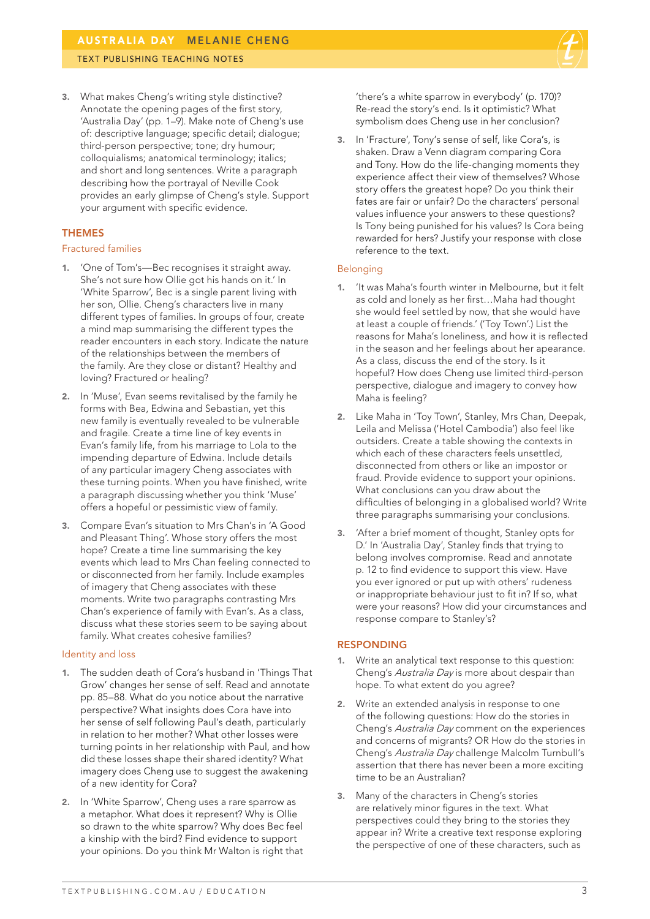# TEXT PUBLISHING TEACHING NOTES

3. What makes Cheng's writing style distinctive? Annotate the opening pages of the first story, 'Australia Day' (pp. 1–9). Make note of Cheng's use of: descriptive language; specific detail; dialogue; third-person perspective; tone; dry humour; colloquialisms; anatomical terminology; italics; and short and long sentences. Write a paragraph describing how the portrayal of Neville Cook provides an early glimpse of Cheng's style. Support your argument with specific evidence.

# **THEMES**

### Fractured families

- 1. 'One of Tom's—Bec recognises it straight away. She's not sure how Ollie got his hands on it.' In 'White Sparrow', Bec is a single parent living with her son, Ollie. Cheng's characters live in many different types of families. In groups of four, create a mind map summarising the different types the reader encounters in each story. Indicate the nature of the relationships between the members of the family. Are they close or distant? Healthy and loving? Fractured or healing?
- 2. In 'Muse', Evan seems revitalised by the family he forms with Bea, Edwina and Sebastian, yet this new family is eventually revealed to be vulnerable and fragile. Create a time line of key events in Evan's family life, from his marriage to Lola to the impending departure of Edwina. Include details of any particular imagery Cheng associates with these turning points. When you have finished, write a paragraph discussing whether you think 'Muse' offers a hopeful or pessimistic view of family.
- 3. Compare Evan's situation to Mrs Chan's in 'A Good and Pleasant Thing'. Whose story offers the most hope? Create a time line summarising the key events which lead to Mrs Chan feeling connected to or disconnected from her family. Include examples of imagery that Cheng associates with these moments. Write two paragraphs contrasting Mrs Chan's experience of family with Evan's. As a class, discuss what these stories seem to be saying about family. What creates cohesive families?

#### Identity and loss

- 1. The sudden death of Cora's husband in 'Things That Grow' changes her sense of self. Read and annotate pp. 85–88. What do you notice about the narrative perspective? What insights does Cora have into her sense of self following Paul's death, particularly in relation to her mother? What other losses were turning points in her relationship with Paul, and how did these losses shape their shared identity? What imagery does Cheng use to suggest the awakening of a new identity for Cora?
- 2. In 'White Sparrow', Cheng uses a rare sparrow as a metaphor. What does it represent? Why is Ollie so drawn to the white sparrow? Why does Bec feel a kinship with the bird? Find evidence to support your opinions. Do you think Mr Walton is right that

'there's a white sparrow in everybody' (p. 170)? Re-read the story's end. Is it optimistic? What symbolism does Cheng use in her conclusion?

3. In 'Fracture', Tony's sense of self, like Cora's, is shaken. Draw a Venn diagram comparing Cora and Tony. How do the life-changing moments they experience affect their view of themselves? Whose story offers the greatest hope? Do you think their fates are fair or unfair? Do the characters' personal values influence your answers to these questions? Is Tony being punished for his values? Is Cora being rewarded for hers? Justify your response with close reference to the text.

## Belonging

- 1. 'It was Maha's fourth winter in Melbourne, but it felt as cold and lonely as her first…Maha had thought she would feel settled by now, that she would have at least a couple of friends.' ('Toy Town'.) List the reasons for Maha's loneliness, and how it is reflected in the season and her feelings about her apearance. As a class, discuss the end of the story. Is it hopeful? How does Cheng use limited third-person perspective, dialogue and imagery to convey how Maha is feeling?
- 2. Like Maha in 'Toy Town', Stanley, Mrs Chan, Deepak, Leila and Melissa ('Hotel Cambodia') also feel like outsiders. Create a table showing the contexts in which each of these characters feels unsettled, disconnected from others or like an impostor or fraud. Provide evidence to support your opinions. What conclusions can you draw about the difficulties of belonging in a globalised world? Write three paragraphs summarising your conclusions.
- 3. 'After a brief moment of thought, Stanley opts for D.' In 'Australia Day', Stanley finds that trying to belong involves compromise. Read and annotate p. 12 to find evidence to support this view. Have you ever ignored or put up with others' rudeness or inappropriate behaviour just to fit in? If so, what were your reasons? How did your circumstances and response compare to Stanley's?

### RESPONDING

- Write an analytical text response to this question: Cheng's Australia Day is more about despair than hope. To what extent do you agree?
- 2. Write an extended analysis in response to one of the following questions: How do the stories in Cheng's Australia Day comment on the experiences and concerns of migrants? OR How do the stories in Cheng's Australia Day challenge Malcolm Turnbull's assertion that there has never been a more exciting time to be an Australian?
- 3. Many of the characters in Cheng's stories are relatively minor figures in the text. What perspectives could they bring to the stories they appear in? Write a creative text response exploring the perspective of one of these characters, such as